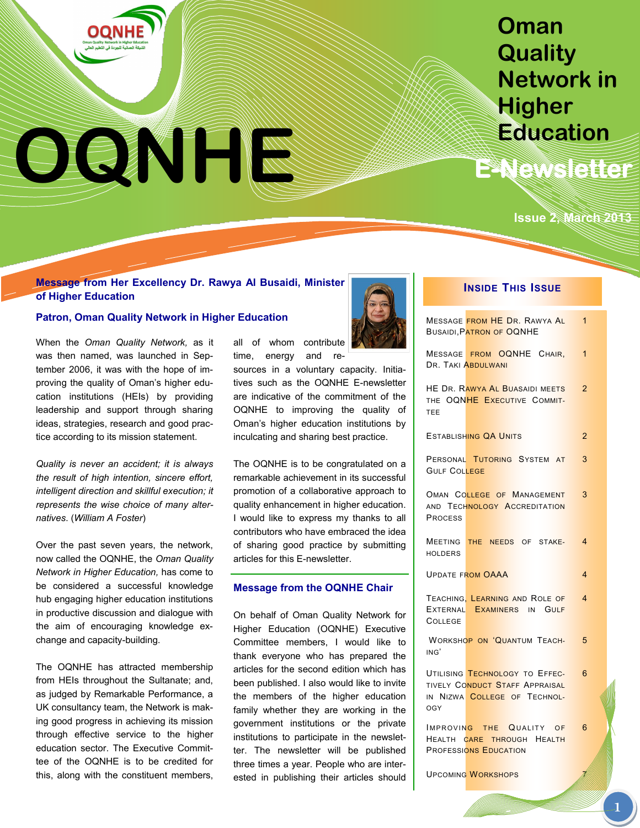# OQNHIM

# **Oman Quality Network in Higher Education**

**E-Newsletter** 

# **Issue 2, March 2013**

## **Message from Her Excellency Dr. Rawya Al Busaidi, Minister of Higher Education**

## **Patron, Oman Quality Network in Higher Education**

When the *Oman Quality Network,* as it was then named, was launched in September 2006, it was with the hope of improving the quality of Oman"s higher education institutions (HEIs) by providing leadership and support through sharing ideas, strategies, research and good practice according to its mission statement.

*Quality is never an accident; it is always the result of high intention, sincere effort, intelligent direction and skillful execution; it represents the wise choice of many alternatives*. (*William A Foster*)

Over the past seven years, the network, now called the OQNHE, the *Oman Quality Network in Higher Education,* has come to be considered a successful knowledge hub engaging higher education institutions in productive discussion and dialogue with the aim of encouraging knowledge exchange and capacity-building.

The OQNHE has attracted membership from HEIs throughout the Sultanate; and, as judged by Remarkable Performance, a UK consultancy team, the Network is making good progress in achieving its mission through effective service to the higher education sector. The Executive Committee of the OQNHE is to be credited for this, along with the constituent members, all of whom contribute time, energy and re-

sources in a voluntary capacity. Initiatives such as the OQNHE E-newsletter are indicative of the commitment of the OQNHE to improving the quality of Oman"s higher education institutions by inculcating and sharing best practice.

The OQNHE is to be congratulated on a remarkable achievement in its successful promotion of a collaborative approach to quality enhancement in higher education. I would like to express my thanks to all contributors who have embraced the idea of sharing good practice by submitting articles for this E-newsletter.

#### **Message from the OQNHE Chair**

On behalf of Oman Quality Network for Higher Education (OQNHE) Executive Committee members, I would like to thank everyone who has prepared the articles for the second edition which has been published. I also would like to invite the members of the higher education family whether they are working in the government institutions or the private institutions to participate in the newsletter. The newsletter will be published three times a year. People who are interested in publishing their articles should



## **INSIDE THIS ISSUE**

|                     | MESSAGE FROM HE DR. RAWYA AL<br><b>BUSAIDI. PATRON OF OQNHE</b>                                  | 1              |
|---------------------|--------------------------------------------------------------------------------------------------|----------------|
|                     | MESSAGE FROM OQNHE CHAIR,<br>DR. TAKI ABDULWANI                                                  | 1              |
| TEE                 | HE DR. RAWYA AL BUASAIDI MEETS<br>THE OQNHE EXECUTIVE COMMIT-                                    | $\overline{2}$ |
|                     | ESTABLISHING QA UNITS                                                                            | $\overline{2}$ |
| <b>GULF COLLEGE</b> | PERSONAL TUTORING SYSTEM AT                                                                      | 3              |
| <b>PROCESS</b>      | OMAN COLLEGE OF MANAGEMENT<br>AND TECHNOLOGY ACCREDITATION                                       | 3              |
| <b>HOLDERS</b>      | MEETING THE NEEDS OF STAKE-                                                                      | 4              |
|                     | <b>UPDATE FROM OAAA</b>                                                                          | 4              |
| <b>COLLEGE</b>      | TEACHING, LEARNING AND ROLE OF<br>EXTERNAL EXAMINERS IN GULF                                     | 4              |
| ING'                | <b>WORKSHOP ON 'QUANTUM TEACH-</b>                                                               | 5              |
| <b>OGY</b>          | UTILISING TECHNOLOGY TO EFFEC-<br>TIVELY CONDUCT STAFF APPRAISAL<br>IN NIZWA COLLEGE OF TECHNOL- | 6              |
|                     | IMPROVING THE QUALITY OF<br>HEALTH CARE THROUGH HEALTH<br><b>PROFESSIONS EDUCATION</b>           | 6              |

**UPCOMING WORKSHOPS**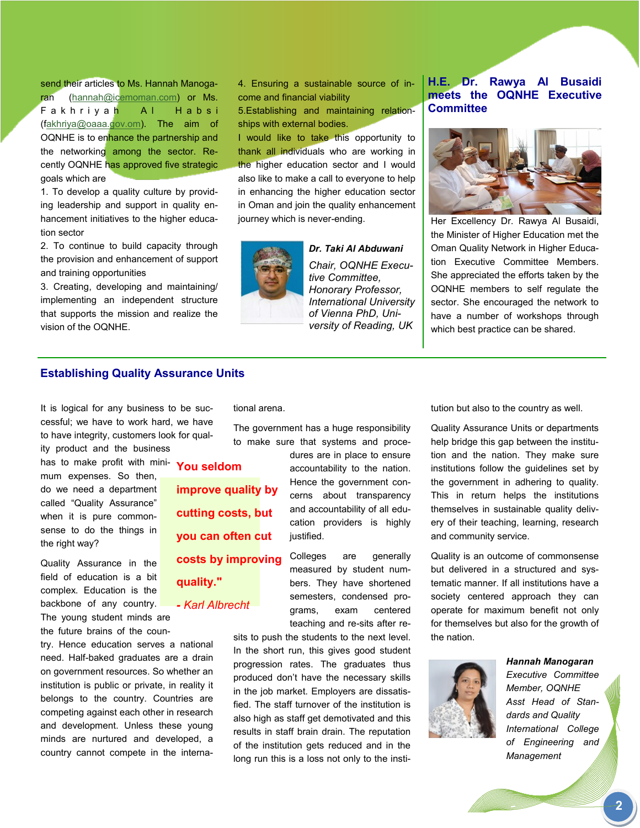send their articles to Ms. Hannah Manogaran ([hannah@icemoman.com\)](mailto:hannah@icemoman.com) or Ms. Fakhrivah Al Habsi ([fakhriya@oaaa.gov.om\).](mailto:Fakhriya@oaaa.gov.om) The aim of OQNHE is to enhance the partnership and the networking among the sector. Recently OQNHE has approved five strategic goals which are

1. To develop a quality culture by providing leadership and support in quality enhancement initiatives to the higher education sector

2. To continue to build capacity through the provision and enhancement of support and training opportunities

3. Creating, developing and maintaining/ implementing an independent structure that supports the mission and realize the vision of the OQNHE.

4. Ensuring a sustainable source of income and financial viability

5.Establishing and maintaining relationships with external bodies.

I would like to take this opportunity to thank all individuals who are working in the higher education sector and I would also like to make a call to everyone to help in enhancing the higher education sector in Oman and join the quality enhancement journey which is never-ending.



*Dr. Taki Al Abduwani Chair, OQNHE Executive Committee, Honorary Professor, International University of Vienna PhD, University of Reading, UK*

## **H.E. Dr. Rawya Al Busaidi meets the OQNHE Executive Committee**



Her Excellency Dr. Rawya Al Busaidi, the Minister of Higher Education met the Oman Quality Network in Higher Education Executive Committee Members. She appreciated the efforts taken by the OQNHE members to self regulate the sector. She encouraged the network to have a number of workshops through which best practice can be shared.

## **Establishing Quality Assurance Units**

It is logical for any business to be successful; we have to work hard, we have to have integrity, customers look for quality product and the business

has to make profit with minimum expenses. So then, do we need a department called "Quality Assurance" when it is pure commonsense to do the things in the right way?

Quality Assurance in the field of education is a bit complex. Education is the backbone of any country.

The young student minds are the future brains of the coun-

try. Hence education serves a national need. Half-baked graduates are a drain on government resources. So whether an institution is public or private, in reality it belongs to the country. Countries are competing against each other in research and development. Unless these young minds are nurtured and developed, a country cannot compete in the international arena.

The government has a huge responsibility to make sure that systems and proce-

**You seldom improve quality by cutting costs, but you can often cut costs by improving** 

**quality."**

*- Karl Albrecht*

dures are in place to ensure accountability to the nation. Hence the government concerns about transparency and accountability of all education providers is highly justified.

Colleges are generally measured by student numbers. They have shortened semesters, condensed programs, exam centered teaching and re-sits after re-

sits to push the students to the next level. In the short run, this gives good student progression rates. The graduates thus produced don"t have the necessary skills in the job market. Employers are dissatisfied. The staff turnover of the institution is also high as staff get demotivated and this results in staff brain drain. The reputation of the institution gets reduced and in the long run this is a loss not only to the institution but also to the country as well.

Quality Assurance Units or departments help bridge this gap between the institution and the nation. They make sure institutions follow the guidelines set by the government in adhering to quality. This in return helps the institutions themselves in sustainable quality delivery of their teaching, learning, research and community service.

Quality is an outcome of commonsense but delivered in a structured and systematic manner. If all institutions have a society centered approach they can operate for maximum benefit not only for themselves but also for the growth of the nation.



*Hannah Manogaran Executive Committee Member, OQNHE Asst Head of Standards and Quality International College of Engineering and Management*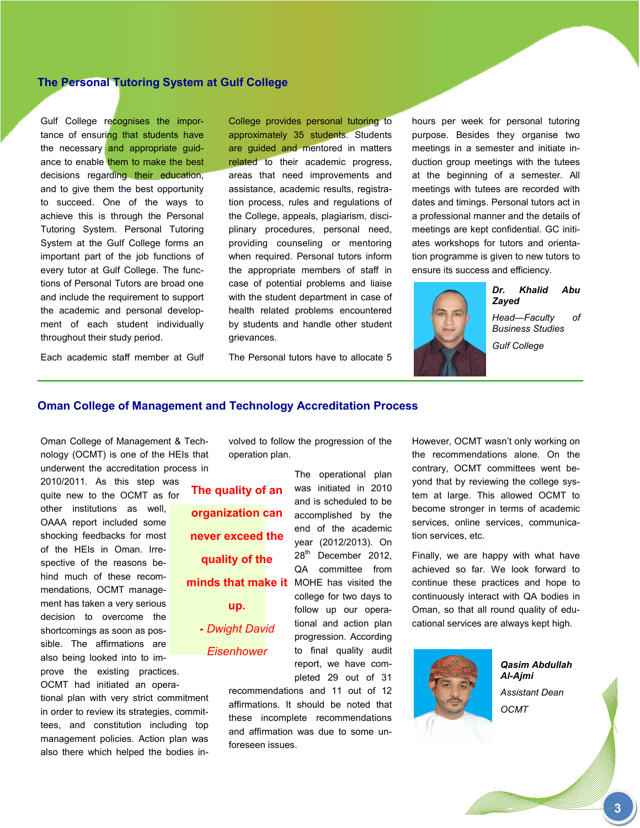## **The Personal Tutoring System at Gulf College**

Gulf College recognises the importance of ensuring that students have the necessary and appropriate guidance to enable them to make the best decisions regarding their education, and to give them the best opportunity to succeed. One of the ways to achieve this is through the Personal Tutoring System. Personal Tutoring System at the Gulf College forms an important part of the job functions of every tutor at Gulf College. The functions of Personal Tutors are broad one and include the requirement to support the academic and personal development of each student individually throughout their study period.

College provides personal tutoring to approximately 35 students. Students are guided and mentored in matters related to their academic progress, areas that need improvements and assistance, academic results, registration process, rules and regulations of the College, appeals, plagiarism, disciplinary procedures, personal need, providing counseling or mentoring when required. Personal tutors inform the appropriate members of staff in case of potential problems and liaise with the student department in case of health related problems encountered by students and handle other student grievances.

The Personal tutors have to allocate 5

hours per week for personal tutoring purpose. Besides they organise two meetings in a semester and initiate induction group meetings with the tutees at the beginning of a semester. All meetings with tutees are recorded with dates and timings. Personal tutors act in a professional manner and the details of meetings are kept confidential. GC initiates workshops for tutors and orientation programme is given to new tutors to ensure its success and efficiency.



*Dr. Khalid Abu Zayed*

*Head—Faculty of Business Studies Gulf College*

Each academic staff member at Gulf

## **Oman College of Management and Technology Accreditation Process**

Oman College of Management & Technology (OCMT) is one of the HEIs that underwent the accreditation process in

2010/2011. As this step was quite new to the OCMT as for other institutions as well, OAAA report included some shocking feedbacks for most of the HEIs in Oman. Irrespective of the reasons behind much of these recommendations, OCMT management has taken a very serious decision to overcome the shortcomings as soon as possible. The affirmations are also being looked into to improve the existing practices.

OCMT had initiated an operational plan with very strict commitment in order to review its strategies, committees, and constitution including top management policies. Action plan was also there which helped the bodies involved to follow the progression of the operation plan.

minds that make it MOHE has visited the **The quality of an organization can never exceed the quality of the up. -** *Dwight David Eisenhower*

The operational plan was initiated in 2010 and is scheduled to be accomplished by the end of the academic year (2012/2013). On 28<sup>th</sup> December 2012, QA committee from college for two days to follow up our operational and action plan progression. According to final quality audit report, we have completed 29 out of 31

recommendations and 11 out of 12 affirmations. It should be noted that these incomplete recommendations and affirmation was due to some unforeseen issues.

However, OCMT wasn't only working on the recommendations alone. On the contrary, OCMT committees went beyond that by reviewing the college system at large. This allowed OCMT to become stronger in terms of academic services, online services, communication services, etc.

Finally, we are happy with what have achieved so far. We look forward to continue these practices and hope to continuously interact with QA bodies in Oman, so that all round quality of educational services are always kept high.



*Qasim Abdullah Al-Ajmi Assistant Dean OCMT*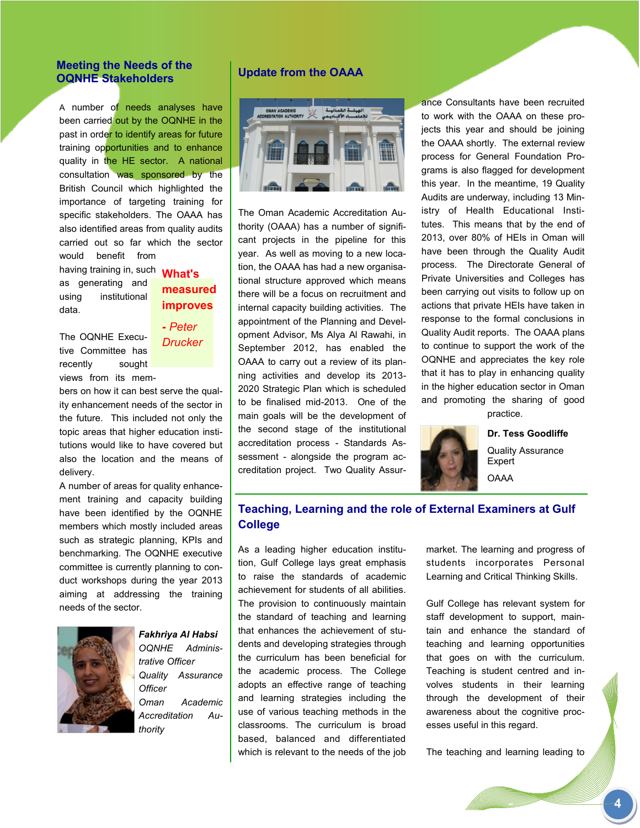## **Meeting the Needs of the OQNHE Stakeholders**

A number of needs analyses have been carried out by the OQNHE in the past in order to identify areas for future training opportunities and to enhance quality in the HE sector. A national consultation was sponsored by the British Council which highlighted the importance of targeting training for specific stakeholders. The OAAA has also identified areas from quality audits carried out so far which the sector would benefit from

having training in, such **What's**  as generating and using institutional data.

**measured improves**

The OQNHE Executive Committee has recently sought views from its mem-

# **-** *Peter Drucker*

bers on how it can best serve the quality enhancement needs of the sector in the future. This included not only the topic areas that higher education institutions would like to have covered but also the location and the means of delivery.

A number of areas for quality enhancement training and capacity building have been identified by the OQNHE members which mostly included areas such as strategic planning, KPIs and benchmarking. The OQNHE executive committee is currently planning to conduct workshops during the year 2013 aiming at addressing the training needs of the sector.



*Fakhriya Al Habsi OQNHE Administrative Officer Quality Assurance Officer Oman Academic Accreditation Authority*

## **Update from the OAAA**



The Oman Academic Accreditation Authority (OAAA) has a number of significant projects in the pipeline for this year. As well as moving to a new location, the OAAA has had a new organisational structure approved which means there will be a focus on recruitment and internal capacity building activities. The appointment of the Planning and Development Advisor, Ms Alya Al Rawahi, in September 2012, has enabled the OAAA to carry out a review of its planning activities and develop its 2013- 2020 Strategic Plan which is scheduled to be finalised mid-2013. One of the main goals will be the development of the second stage of the institutional accreditation process - Standards Assessment - alongside the program accreditation project. Two Quality Assur-

ance Consultants have been recruited to work with the OAAA on these projects this year and should be joining the OAAA shortly. The external review process for General Foundation Programs is also flagged for development this year. In the meantime, 19 Quality Audits are underway, including 13 Ministry of Health Educational Institutes. This means that by the end of 2013, over 80% of HEIs in Oman will have been through the Quality Audit process. The Directorate General of Private Universities and Colleges has been carrying out visits to follow up on actions that private HEIs have taken in response to the formal conclusions in Quality Audit reports. The OAAA plans to continue to support the work of the OQNHE and appreciates the key role that it has to play in enhancing quality in the higher education sector in Oman and promoting the sharing of good practice.



**Dr. Tess Goodliffe**

Quality Assurance Expert OAAA

## **Teaching, Learning and the role of External Examiners at Gulf College**

As a leading higher education institution, Gulf College lays great emphasis to raise the standards of academic achievement for students of all abilities. The provision to continuously maintain the standard of teaching and learning that enhances the achievement of students and developing strategies through the curriculum has been beneficial for the academic process. The College adopts an effective range of teaching and learning strategies including the use of various teaching methods in the classrooms. The curriculum is broad based, balanced and differentiated which is relevant to the needs of the job

market. The learning and progress of students incorporates Personal Learning and Critical Thinking Skills.

Gulf College has relevant system for staff development to support, maintain and enhance the standard of teaching and learning opportunities that goes on with the curriculum. Teaching is student centred and involves students in their learning through the development of their awareness about the cognitive processes useful in this regard.

The teaching and learning leading to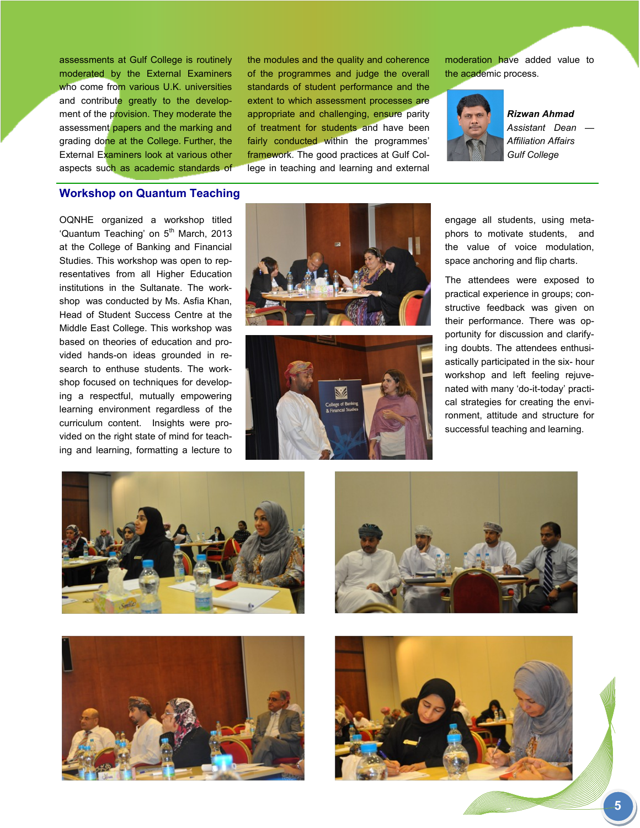assessments at Gulf College is routinely moderated by the External Examiners who come from various U.K. universities and contribute greatly to the development of the provision. They moderate the assessment papers and the marking and grading done at the College. Further, the External Examiners look at various other aspects such as academic standards of the modules and the quality and coherence of the programmes and judge the overall standards of student performance and the extent to which assessment processes are appropriate and challenging, ensure parity of treatment for students and have been fairly conducted within the programmes' framework. The good practices at Gulf College in teaching and learning and external

moderation have added value to the academic process.



*Rizwan Ahmad Assistant Dean — Affiliation Affairs Gulf College*

#### **Workshop on Quantum Teaching**

OQNHE organized a workshop titled 'Quantum Teaching' on 5<sup>th</sup> March, 2013 at the College of Banking and Financial Studies. This workshop was open to representatives from all Higher Education institutions in the Sultanate. The workshop was conducted by Ms. Asfia Khan, Head of Student Success Centre at the Middle East College. This workshop was based on theories of education and provided hands-on ideas grounded in research to enthuse students. The workshop focused on techniques for developing a respectful, mutually empowering learning environment regardless of the curriculum content. Insights were provided on the right state of mind for teaching and learning, formatting a lecture to





engage all students, using metaphors to motivate students, and the value of voice modulation, space anchoring and flip charts.

The attendees were exposed to practical experience in groups; constructive feedback was given on their performance. There was opportunity for discussion and clarifying doubts. The attendees enthusiastically participated in the six- hour workshop and left feeling rejuvenated with many "do-it-today" practical strategies for creating the environment, attitude and structure for successful teaching and learning.







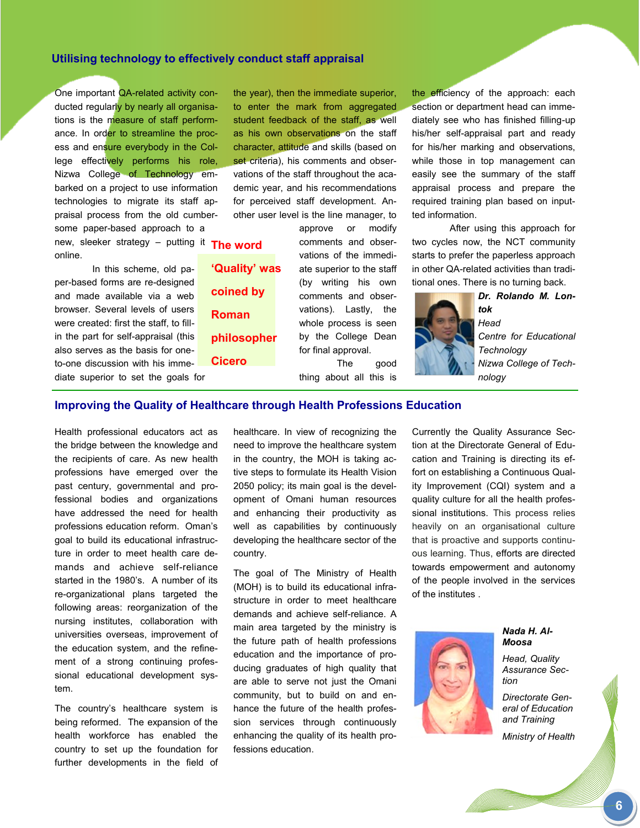## **Utilising technology to effectively conduct staff appraisal**

One important QA-related activity conducted regularly by nearly all organisations is the measure of staff performance. In order to streamline the process and ensure everybody in the College effectively performs his role, Nizwa College of Technology embarked on a project to use information technologies to migrate its staff appraisal process from the old cumbersome paper-based approach to a

new, sleeker strategy – putting it **The word**  online.

In this scheme, old paper-based forms are re-designed and made available via a web browser. Several levels of users were created: first the staff, to fillin the part for self-appraisal (this also serves as the basis for oneto-one discussion with his immediate superior to set the goals for the year), then the immediate superior, to enter the mark from aggregated student feedback of the staff, as well as his own observations on the staff character, attitude and skills (based on set criteria), his comments and observations of the staff throughout the academic year, and his recommendations for perceived staff development. Another user level is the line manager, to

> approve or modify comments and observations of the immediate superior to the staff (by writing his own comments and observations). Lastly, the whole process is seen by the College Dean for final approval. The good

thing about all this is

the efficiency of the approach: each section or department head can immediately see who has finished filling-up his/her self-appraisal part and ready for his/her marking and observations, while those in top management can easily see the summary of the staff appraisal process and prepare the required training plan based on inputted information.

After using this approach for two cycles now, the NCT community starts to prefer the paperless approach in other QA-related activities than traditional ones. There is no turning back.



*Dr. Rolando M. Lontok Head Centre for Educational Technology Nizwa College of Technology* 

## **Improving the Quality of Healthcare through Health Professions Education**

**'Quality' was** 

**coined by** 

**philosopher** 

**Roman** 

**Cicero** 

Health professional educators act as the bridge between the knowledge and the recipients of care. As new health professions have emerged over the past century, governmental and professional bodies and organizations have addressed the need for health professions education reform. Oman"s goal to build its educational infrastructure in order to meet health care demands and achieve self-reliance started in the 1980's. A number of its re-organizational plans targeted the following areas: reorganization of the nursing institutes, collaboration with universities overseas, improvement of the education system, and the refinement of a strong continuing professional educational development system.

The country"s healthcare system is being reformed. The expansion of the health workforce has enabled the country to set up the foundation for further developments in the field of healthcare. In view of recognizing the need to improve the healthcare system in the country, the MOH is taking active steps to formulate its Health Vision 2050 policy; its main goal is the development of Omani human resources and enhancing their productivity as well as capabilities by continuously developing the healthcare sector of the country.

The goal of The Ministry of Health (MOH) is to build its educational infrastructure in order to meet healthcare demands and achieve self-reliance. A main area targeted by the ministry is the future path of health professions education and the importance of producing graduates of high quality that are able to serve not just the Omani community, but to build on and enhance the future of the health profession services through continuously enhancing the quality of its health professions education.

Currently the Quality Assurance Section at the Directorate General of Education and Training is directing its effort on establishing a Continuous Quality Improvement (CQI) system and a quality culture for all the health professional institutions. This process relies heavily on an organisational culture that is proactive and supports continuous learning. Thus, efforts are directed towards empowerment and autonomy of the people involved in the services of the institutes .



*Nada H. Al-Moosa*

*Head, Quality Assurance Section*

*Directorate General of Education and Training* 

*Ministry of Health* 

**6**